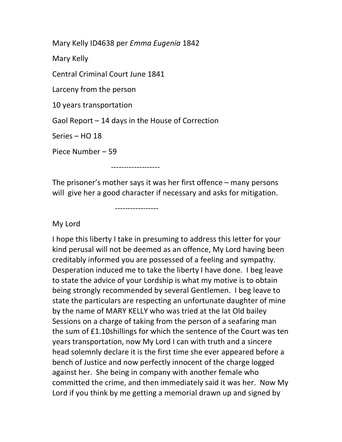Mary Kelly ID4638 per Emma Eugenia 1842

Mary Kelly

Central Criminal Court June 1841

Larceny from the person

10 years transportation

Gaol Report – 14 days in the House of Correction

Series – HO 18

Piece Number – 59

-------------------

-----------------

The prisoner's mother says it was her first offence – many persons will give her a good character if necessary and asks for mitigation.

My Lord

I hope this liberty I take in presuming to address this letter for your kind perusal will not be deemed as an offence, My Lord having been creditably informed you are possessed of a feeling and sympathy. Desperation induced me to take the liberty I have done. I beg leave to state the advice of your Lordship is what my motive is to obtain being strongly recommended by several Gentlemen. I beg leave to state the particulars are respecting an unfortunate daughter of mine by the name of MARY KELLY who was tried at the lat Old bailey Sessions on a charge of taking from the person of a seafaring man the sum of £1.10shillings for which the sentence of the Court was ten years transportation, now My Lord I can with truth and a sincere head solemnly declare it is the first time she ever appeared before a bench of Justice and now perfectly innocent of the charge logged against her. She being in company with another female who committed the crime, and then immediately said it was her. Now My Lord if you think by me getting a memorial drawn up and signed by